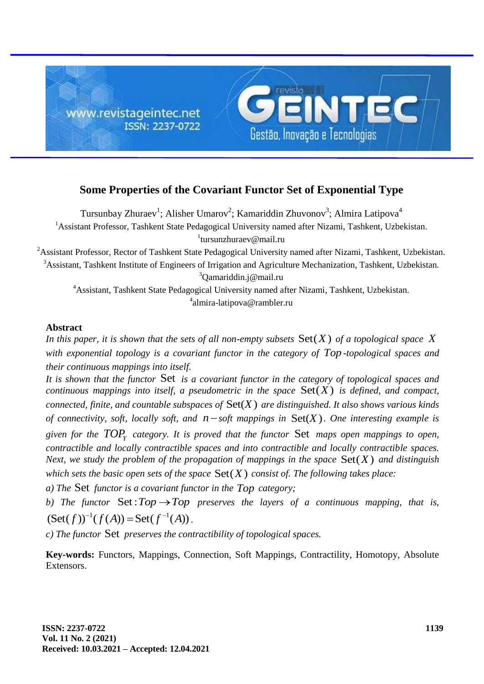

# **Some Properties of the Covariant Functor Set of Exponential Type**

Tursunbay Zhuraev<sup>1</sup>; Alisher Umarov<sup>2</sup>; Kamariddin Zhuvonov<sup>3</sup>; Almira Latipova<sup>4</sup> <sup>1</sup> Assistant Professor, Tashkent State Pedagogical University named after Nizami, Tashkent, Uzbekistan. 1 tursunzhuraev@mail.ru

<sup>2</sup>Assistant Professor, Rector of Tashkent State Pedagogical University named after Nizami, Tashkent, Uzbekistan. <sup>3</sup>Assistant, Tashkent Institute of Engineers of Irrigation and Agriculture Mechanization, Tashkent, Uzbekistan. <sup>3</sup>Qamariddin.j@mail.ru

<sup>4</sup>Assistant, Tashkent State Pedagogical University named after Nizami, Tashkent, Uzbekistan. 4 almira-latipova@rambler.ru

## **Abstract**

In this paper, it is shown that the sets of all non-empty subsets  $Set(X)$  of a topological space X *with exponential topology is a covariant functor in the category of Top -topological spaces and their continuous mappings into itself.*

It is shown that the functor Set is a covariant functor in the category of topological spaces and *continuous mappings into itself, a pseudometric in the space*  $Set(X)$  *is defined, and compact, connected, finite, and countable subspaces of*  $Set(X)$  *are distinguished. It also shows various kinds of connectivity, soft, locally soft, and*  $n$  *– soft mappings in*  $Set(X)$ *. One interesting example is given for the TOP<sup>Y</sup> category. It is proved that the functor*  Set *maps open mappings to open, contractible and locally contractible spaces and into contractible and locally contractible spaces.*  Next, we study the problem of the propagation of mappings in the space  $\text{Set}(X)$  and distinguish which sets the basic open sets of the space  $\text{Set}(X)$  consist of. The following takes place:

*a) The*  Set *functor is a covariant functor in the Top category;*

b) The functor  $Set: Top \rightarrow Top$  preserves the layers of a continuous mapping, that is, b) The functor  $\text{Set}: Top \rightarrow Top$ <br>  $(\text{Set}(f))^{-1}(f(A)) = \text{Set}(f^{-1}(A))$ .

*c) The functor*  Set *preserves the contractibility of topological spaces.*

**Key-words:** Functors, Mappings, Connection, Soft Mappings, Contractility, Homotopy, Absolute Extensors.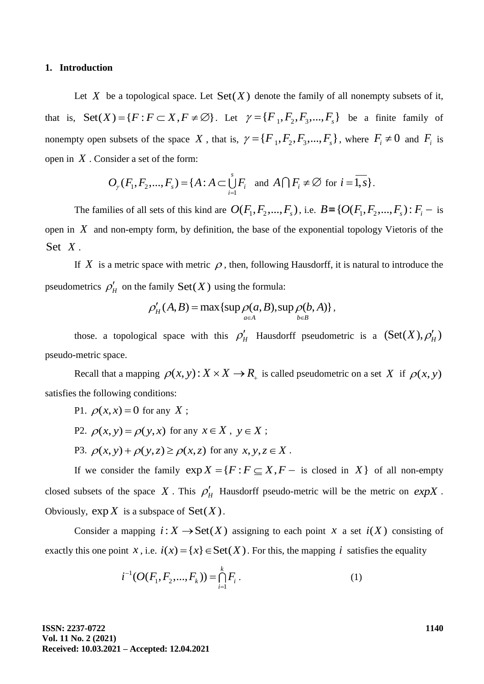#### **1. Introduction**

Let X be a topological space. Let  $Set(X)$  denote the family of all nonempty subsets of it, that is,  $\text{Set}(X) = \{F : F \subset X, F \neq \emptyset\}$ . Let  $\gamma = \{F_1, F_2, F_3, ..., F_s\}$  be a finite family of nonempty open subsets of the space X, that is,  $\gamma = \{F_1, F_2, F_3, ..., F_s\}$ , where  $F_i \neq 0$  and  $F_i$  is open in *X* . Consider a set of the form:

$$
O_{\gamma}(F_1, F_2, \dots, F_s) = \{A : A \subset \bigcup_{i=1}^s F_i \text{ and } A \cap F_i \neq \emptyset \text{ for } i = \overline{1, s} \}.
$$

The families of all sets of this kind are  $O(F_1, F_2, ..., F_s)$ , i.e.  $B = \{O(F_1, F_2, ..., F_s) : F_i -$  is open in  $X$  and non-empty form, by definition, the base of the exponential topology Vietoris of the Set *X* .

If X is a metric space with metric  $\rho$ , then, following Hausdorff, it is natural to introduce the pseudometrics  $\rho'_H$  on the family  $\text{Set}(X)$  using the formula:<br>  $\rho'_H(A, B) = \max\{\sup_{A \in A} \rho(a, B), \sup_{b \in B} \rho(b, A)\}\$ 

$$
\rho'_H(A, B) = \max \{ \sup_{a \in A} \rho(a, B), \sup_{b \in B} \rho(b, A) \},
$$

those. a topological space with this  $\rho'_H$  Hausdorff pseudometric is a  $(\text{Set}(X), \rho'_H)$ pseudo-metric space.

Recall that a mapping  $\rho(x, y)$ :  $X \times X \to R_+$  is called pseudometric on a set X if  $\rho(x, y)$ satisfies the following conditions:

- P1.  $\rho(x, x) = 0$  for any X;
- P2.  $\rho(x, y) = \rho(y, x)$  for any  $x \in X$ ,  $y \in X$ ;
- P3.  $\rho(x, y) + \rho(y, z) \ge \rho(x, z)$  for any  $x, y, z \in X$ .

If we consider the family  $exp X = {F : F \subseteq X, F -$  is closed in X of all non-empty closed subsets of the space X. This  $\rho'_H$  Hausdorff pseudo-metric will be the metric on  $expX$ . Obviously,  $\exp X$  is a subspace of  $\text{Set}(X)$ .

Consider a mapping  $i: X \to \text{Set}(X)$  assigning to each point x a set  $i(X)$  consisting of exactly this one point *x*, i.e.  $i(x) = \{x\} \in \text{Set}(X)$ . For this, the mapping *i* satisfies the equality

$$
i^{-1}(O(F_1, F_2, ..., F_k)) = \bigcap_{i=1}^k F_i.
$$
 (1)

**ISSN: 2237-0722 Vol. 11 No. 2 (2021) Received: 10.03.2021 – Accepted: 12.04.2021** **1140**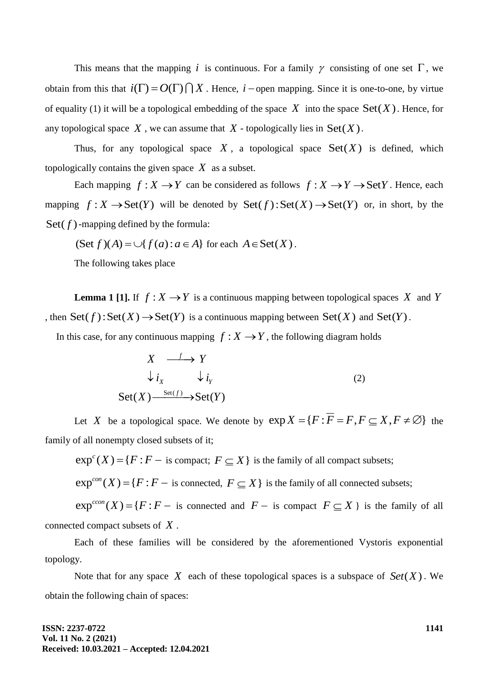This means that the mapping i is continuous. For a family  $\gamma$  consisting of one set  $\Gamma$ , we obtain from this that  $i(\Gamma) = O(\Gamma) \cap X$ . Hence,  $i$  – open mapping. Since it is one-to-one, by virtue of equality (1) it will be a topological embedding of the space  $X$  into the space  $Set(X)$ . Hence, for any topological space  $X$ , we can assume that  $X$  - topologically lies in  $Set(X)$ .

Thus, for any topological space  $X$ , a topological space  $Set(X)$  is defined, which topologically contains the given space  $X$  as a subset.

Each mapping  $f: X \to Y$  can be considered as follows  $f: X \to Y \to Set Y$ . Hence, each mapping  $f: X \to \text{Set}(Y)$  will be denoted by  $\text{Set}(f): \text{Set}(X) \to \text{Set}(Y)$  or, in short, by the  $Set(f)$ -mapping defined by the formula:

(Set  $f$ )( $A$ ) =  $\bigcup$ { $f(a)$  :  $a \in A$ } for each  $A \in$ Set( $X$ ).

The following takes place

**Lemma 1 [1].** If  $f: X \rightarrow Y$  is a continuous mapping between topological spaces X and Y then  $\text{Set}(f)$ :  $\text{Set}(X) \to \text{Set}(Y)$  is a continuous mapping between  $\text{Set}(X)$  and  $\text{Set}(Y)$ .

In this case, for any continuous mapping  $f: X \to Y$ , the following diagram holds

$$
X \xrightarrow{f} Y
$$
  
\n
$$
\downarrow i_X \qquad \downarrow i_Y
$$
  
\n
$$
Set(X) \xrightarrow{Set(f)} \rightarrow Set(Y)
$$
 (2)

Let *X* be a topological space. We denote by  $exp X = {F : \overline{F} = F, F \subseteq X, F \neq \emptyset}$  the family of all nonempty closed subsets of it;

 $exp<sup>c</sup>(X) = {F : F – is compact; F ⊆ X}$  is the family of all compact subsets;

 $exp^{con}(X) = {F : F -$  is connected,  $F \subseteq X}$  is the family of all connected subsets;

 $exp^{ccon}(X) = {F : F -$  is connected and  $F -$  is compact  $F \subseteq X$  is the family of all connected compact subsets of *X* .

Each of these families will be considered by the aforementioned Vystoris exponential topology.

Note that for any space X each of these topological spaces is a subspace of  $Set(X)$ . We obtain the following chain of spaces: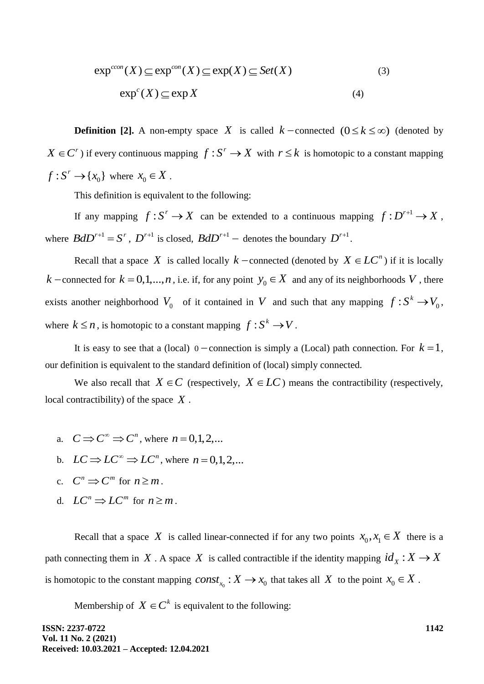$$
\exp^{ccon}(X) \subseteq \exp^{con}(X) \subseteq \exp(X) \subseteq Set(X)
$$
\n
$$
\exp^{c}(X) \subseteq \exp(X)
$$
\n(3)\n(4)

**Definition [2].** A non-empty space X is called  $k$  -connected  $(0 \le k \le \infty)$  (denoted by  $X \in \mathbb{C}^r$ ) if every continuous mapping  $f: S^r \to X$  with  $r \leq k$  is homotopic to a constant mapping  $f: S^r \to \{x_0\}$  where  $x_0 \in X$ .

This definition is equivalent to the following:

If any mapping  $f: S^r \to X$  can be extended to a continuous mapping  $f: D^{r+1} \to X$ , where  $BdD^{r+1} = S^r$ ,  $D^{r+1}$  is closed,  $BdD^{r+1}$  – denotes the boundary  $D^{r+1}$ .

Recall that a space X is called locally  $k$  -connected (denoted by  $X \in LC^n$ ) if it is locally *k* – connected for  $k = 0,1,...,n$ , i.e. if, for any point  $y_0 \in X$  and any of its neighborhoods V, there exists another neighborhood  $V_0$  of it contained in V and such that any mapping  $f: S^k \to V_0$ , where  $k \leq n$ , is homotopic to a constant mapping  $f : S^k \to V$ .

It is easy to see that a (local)  $0$  – connection is simply a (Local) path connection. For  $k = 1$ , our definition is equivalent to the standard definition of (local) simply connected.

We also recall that  $X \in C$  (respectively,  $X \in LC$ ) means the contractibility (respectively, local contractibility) of the space *X* .

- a.  $C \implies C^{\infty} \implies C^{n}$ , where  $n = 0, 1, 2, ...$
- b.  $LC \Rightarrow LC^{\infty} \Rightarrow LC^{n}$ , where  $n = 0,1,2,...$
- c.  $C^n \implies C^m$  for  $n \ge m$ .
- d.  $LC^n \Rightarrow LC^m$  for  $n \geq m$ .

Recall that a space X is called linear-connected if for any two points  $x_0, x_1 \in X$  there is a path connecting them in X. A space X is called contractible if the identity mapping  $id_x : X \to X$ is homotopic to the constant mapping  $const_{x_0}: X \to x_0$  that takes all X to the point  $x_0 \in X$ .

Membership of  $X \in \mathbb{C}^k$  is equivalent to the following:

**ISSN: 2237-0722 Vol. 11 No. 2 (2021) Received: 10.03.2021 – Accepted: 12.04.2021** **1142**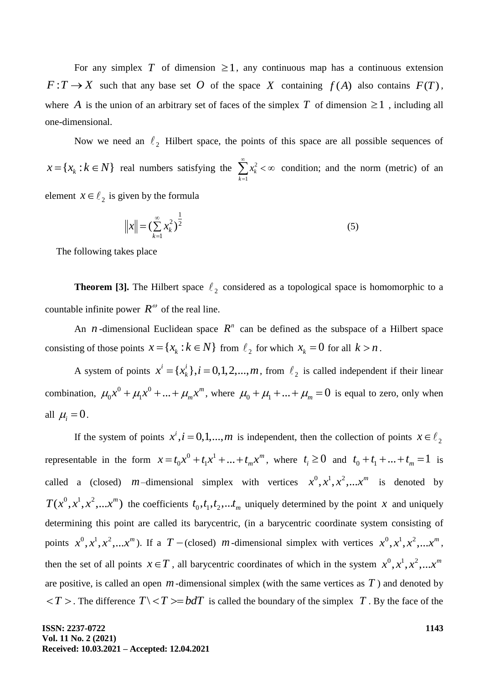For any simplex T of dimension  $\geq 1$ , any continuous map has a continuous extension  $F: T \to X$  such that any base set O of the space X containing  $f(A)$  also contains  $F(T)$ , where A is the union of an arbitrary set of faces of the simplex T of dimension  $\geq 1$ , including all one-dimensional.

Now we need an  $\ell_2$  Hilbert space, the points of this space are all possible sequences of  $x = \{x_k : k \in N\}$  real numbers satisfying the  $\sum_{k=1}^{\infty}$ =  $< \infty$ 1 2 *k*  $x_k^2 < \infty$  condition; and the norm (metric) of an element  $x \in \ell_2$  is given by the formula

$$
||x|| = \left(\sum_{k=1}^{\infty} x_k^2\right)^{\frac{1}{2}}
$$
 (5)

The following takes place

**Theorem [3].** The Hilbert space  $\ell_2$  considered as a topological space is homomorphic to a countable infinite power  $R^{\omega}$  of the real line.

An *n*-dimensional Euclidean space  $R^n$  can be defined as the subspace of a Hilbert space consisting of those points  $x = \{x_k : k \in N\}$  from  $\ell_2$  for which  $x_k = 0$  for all  $k > n$ .

A system of points  $x^i = \{x^i_k\}, i = 0, 1, 2, ..., m$ , from  $\ell_2$  is called independent if their linear combination,  $\mu_0 x^0 + \mu_1 x^0 + ... + \mu_m x^m$  $\mu_0 x^0 + \mu_1 x^0 + ... + \mu_m x^m$ , where  $\mu_0 + \mu_1 + ... + \mu_m = 0$  is equal to zero, only when all  $\mu_i = 0$ .

If the system of points  $x^i$ ,  $i = 0,1,...,m$  is independent, then the collection of points  $x \in \ell_2$ representable in the form  $x = t_0 x^0 + t_1 x^1 + ... + t_m x^m$  $x = t_0 x^0 + t_1 x^1 + ... + t_m x^m$ , where  $t_i \ge 0$  and  $t_0 + t_1 + ... + t_m = 1$  is called a (closed) *m*-dimensional simplex with vertices  $x^0, x^1, x^2, ...x^m$  is denoted by  $T(x^0, x^1, x^2, ...x^m)$  the coefficients  $t_0, t_1, t_2, ...t_m$  uniquely determined by the point x and uniquely determining this point are called its barycentric, (in a barycentric coordinate system consisting of points  $x^0, x^1, x^2, \ldots, x^m$ ). If a  $T$  – (closed) *m*-dimensional simplex with vertices  $x^0, x^1, x^2, \ldots, x^m$ , then the set of all points  $x \in T$ , all barycentric coordinates of which in the system  $x^0, x^1, x^2, ...x^m$ are positive, is called an open  $m$ -dimensional simplex (with the same vertices as  $T$ ) and denoted by  $\langle T \rangle$ . The difference  $T \setminus \langle T \rangle = bdT$  is called the boundary of the simplex T. By the face of the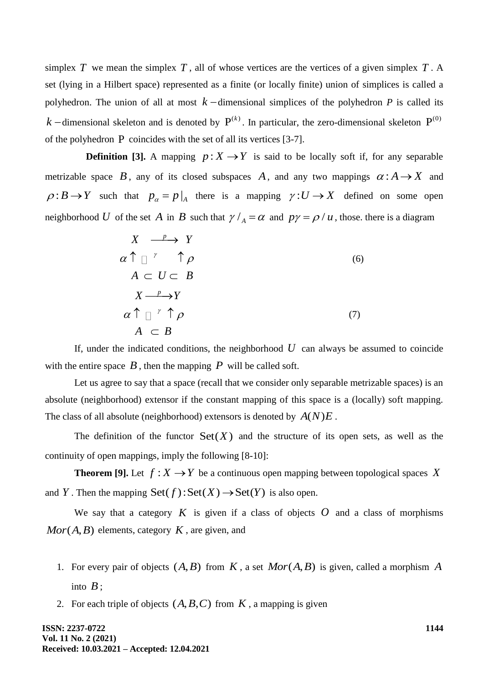simplex  $T$  we mean the simplex  $T$ , all of whose vertices are the vertices of a given simplex  $T$ . A set (lying in a Hilbert space) represented as a finite (or locally finite) union of simplices is called a polyhedron. The union of all at most  $k$  -dimensional simplices of the polyhedron  $P$  is called its  $k$  -dimensional skeleton and is denoted by  $P^{(k)}$ . In particular, the zero-dimensional skeleton  $P^{(0)}$ of the polyhedron P coincides with the set of all its vertices [3-7].

**Definition [3].** A mapping  $p: X \rightarrow Y$  is said to be locally soft if, for any separable metrizable space B, any of its closed subspaces A, and any two mappings  $\alpha: A \rightarrow X$  and  $\rho: B \to Y$  such that  $p_{\alpha} = p|_{A}$  there is a mapping  $\gamma: U \to X$  defined on some open neighborhood U of the set A in B such that  $\gamma / A = \alpha$  and  $p\gamma = \beta / u$ , those, there is a diagram

$$
X \xrightarrow{p} Y
$$
  
\n
$$
\alpha \uparrow \text{ } \uparrow \text{ } \uparrow \text{ } \rho
$$
  
\n
$$
A \subset U \subset B
$$
  
\n
$$
X \xrightarrow{p} Y
$$
  
\n
$$
\alpha \uparrow \text{ } \uparrow \text{ } \uparrow \text{ } \rho
$$
  
\n
$$
A \subset B
$$
\n(7)

If, under the indicated conditions, the neighborhood  $U$  can always be assumed to coincide with the entire space  $\hat{B}$ , then the mapping  $\hat{P}$  will be called soft.

Let us agree to say that a space (recall that we consider only separable metrizable spaces) is an absolute (neighborhood) extensor if the constant mapping of this space is a (locally) soft mapping. The class of all absolute (neighborhood) extensors is denoted by  $A(N)E$ .

The definition of the functor  $Set(X)$  and the structure of its open sets, as well as the continuity of open mappings, imply the following [8-10]:

**Theorem [9].** Let  $f: X \rightarrow Y$  be a continuous open mapping between topological spaces X and *Y*. Then the mapping  $Set(f)$ :  $Set(X) \rightarrow Set(Y)$  is also open.

We say that a category  $K$  is given if a class of objects  $O$  and a class of morphisms  $Mor(A, B)$  elements, category  $K$ , are given, and

- 1. For every pair of objects  $(A, B)$  from  $K$ , a set  $Mor(A, B)$  is given, called a morphism A into  $B$ ;
- 2. For each triple of objects  $(A, B, C)$  from  $K$ , a mapping is given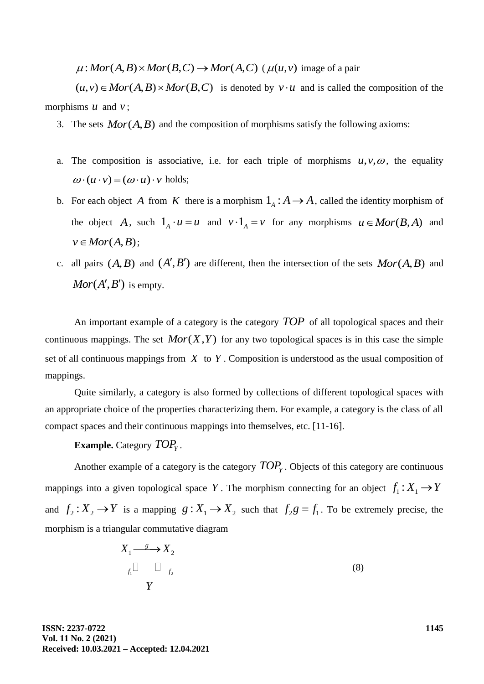$\mu: Mor(A, B) \times Mor(B, C) \rightarrow Mor(A, C)$  ( $\mu(u, v)$  image of a pair

 $(\mu, \nu) \in Mor(A, B) \times Mor(B, C) \rightarrow Mor(A, C)$  ( $\mu(u, v)$  image or a pair  $(u, v) \in Mor(A, B) \times Mor(B, C)$  is denoted by  $v \cdot u$  and is called the composition of the morphisms  $u$  and  $v$ ;

- 3. The sets  $Mor(A, B)$  and the composition of morphisms satisfy the following axioms:
- a. The composition is associative, i.e. for each triple of morphisms  $u, v, \omega$ , the equality  $\omega \cdot (u \cdot v) = (\omega \cdot u) \cdot v$  holds;
- b. For each object A from K there is a morphism  $1_A : A \to A$ , called the identity morphism of the object A, such  $1_A \cdot u = u$  and  $v \cdot 1_A = v$  for any morphisms  $u \in Mor(B, A)$  and  $v \in Mor(A, B);$
- c. all pairs  $(A, B)$  and  $(A', B')$  are different, then the intersection of the sets  $Mor(A, B)$  and  $Mor(A', B')$  is empty.

An important example of a category is the category *TOP* of all topological spaces and their continuous mappings. The set  $Mor(X, Y)$  for any two topological spaces is in this case the simple set of all continuous mappings from  $X$  to  $Y$ . Composition is understood as the usual composition of mappings.

Quite similarly, a category is also formed by collections of different topological spaces with an appropriate choice of the properties characterizing them. For example, a category is the class of all compact spaces and their continuous mappings into themselves, etc. [11-16].

# **Example.** Category  $\mathit{TOP}_Y$ .

Another example of a category is the category *TOP<sup>Y</sup>* . Objects of this category are continuous mappings into a given topological space Y. The morphism connecting for an object  $f_1: X_1 \to Y$ and  $f_2: X_2 \to Y$  is a mapping  $g: X_1 \to X_2$  such that  $f_2g = f_1$ . To be extremely precise, the morphism is a triangular commutative diagram

$$
X_1 \xrightarrow{g} X_2
$$
  
\n $f_1 \qquad \qquad \Box \qquad f_2$   
\n $\qquad Y$  (8)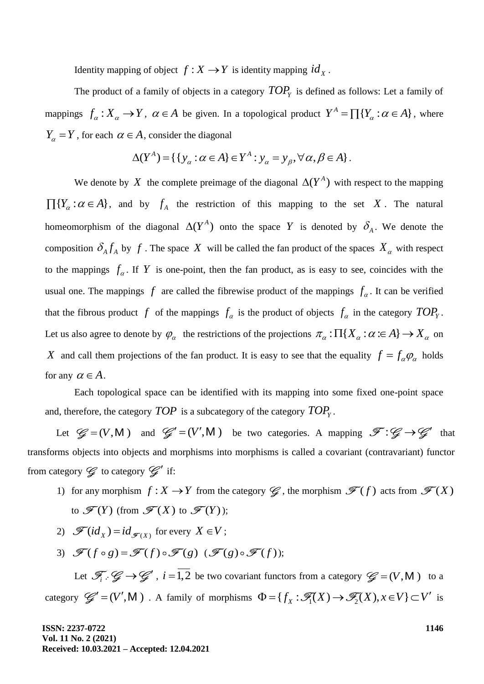Identity mapping of object  $f: X \rightarrow Y$  is identity mapping  $id_X$ .

The product of a family of objects in a category  $\mathit{TOP}_Y$  is defined as follows: Let a family of mappings  $f_{\alpha}: X_{\alpha} \to Y$ ,  $\alpha \in A$  be given. In a topological product  $Y^{A} = \prod \{Y_{\alpha} : \alpha \in A\}$ , where *Y<sub>a</sub>* = *Y*, for each  $\alpha \in A$ , consider the diagonal<br>  $\Delta(Y^A) = \{ \{ y_\alpha : \alpha \in A \} \in Y^A : y_\alpha = y_\beta, \forall \alpha, \beta \in A \}.$ 

$$
\Delta(Y^A) = \{ \{ y_\alpha : \alpha \in A \} \in Y^A : y_\alpha = y_\beta, \forall \alpha, \beta \in A \}.
$$

We denote by X the complete preimage of the diagonal  $\Delta(Y^A)$  with respect to the mapping  $\prod\{Y_\alpha : \alpha \in A\}$ , and by  $f_A$  the restriction of this mapping to the set X. The natural homeomorphism of the diagonal  $\Delta(Y^A)$  onto the space Y is denoted by  $\delta_A$ . We denote the composition  $\delta_A f_A$  by f. The space X will be called the fan product of the spaces  $X_\alpha$  with respect to the mappings  $f_a$ . If Y is one-point, then the fan product, as is easy to see, coincides with the usual one. The mappings  $f$  are called the fibrewise product of the mappings  $f_{\alpha}$ . It can be verified that the fibrous product f of the mappings  $f_{\alpha}$  is the product of objects  $f_{\alpha}$  in the category  $TOP_Y$ . Let us also agree to denote by  $\varphi_{\alpha}$  the restrictions of the projections  $\pi_{\alpha} : \Pi\{X_{\alpha} : \alpha \in A\} \to X_{\alpha}$  on X and call them projections of the fan product. It is easy to see that the equality  $f = f_{\alpha} \varphi_{\alpha}$  holds for any  $\alpha \in A$ .

Each topological space can be identified with its mapping into some fixed one-point space and, therefore, the category  $TOP$  is a subcategory of the category  $TOP<sub>y</sub>$ .

Let  $\mathcal{G} = (V, M)$  and  $\mathcal{G}' = (V', M)$  be two categories. A mapping  $\mathcal{F} : \mathcal{G} \to \mathcal{G}'$  that transforms objects into objects and morphisms into morphisms is called a covariant (contravariant) functor from category  $\mathcal G$  to category  $\mathcal G'$  if:

- 1) for any morphism  $f: X \to Y$  from the category  $\mathscr{G}$ , the morphism  $\mathscr{F}(f)$  acts from  $\mathscr{F}(X)$ to  $\mathscr{F}(Y)$  (from  $\mathscr{F}(X)$  to  $\mathscr{F}(Y)$ );
- 2)  $\mathscr{F}(id_X) = id_{\mathscr{F}(X)}$  for every  $X \in V$ ;
- 3)  $\mathscr{F}(f \circ g) = \mathscr{F}(f) \circ \mathscr{F}(g)$  ( $\mathscr{F}(g) \circ \mathscr{F}(f)$ );

Let  $\mathscr{F}_i$   $\colon \mathscr{G} \to \mathscr{G}'$ ,  $i = \overline{1,2}$  be two covariant functors from a category  $\mathscr{G} = (V, M)$  to a Let  $\mathcal{F}_i$   $\colon \mathcal{G} \to \mathcal{G}'$ ,  $i = 1, 2$  be two covariant functors from a category  $\mathcal{G} = (V, \mathsf{M})$  to a category  $\mathcal{G}' = (V', \mathsf{M})$ . A family of morphisms  $\Phi = \{f_x : \mathcal{F}_1(X) \to \mathcal{F}_2(X), x \in V\} \subset V'$  is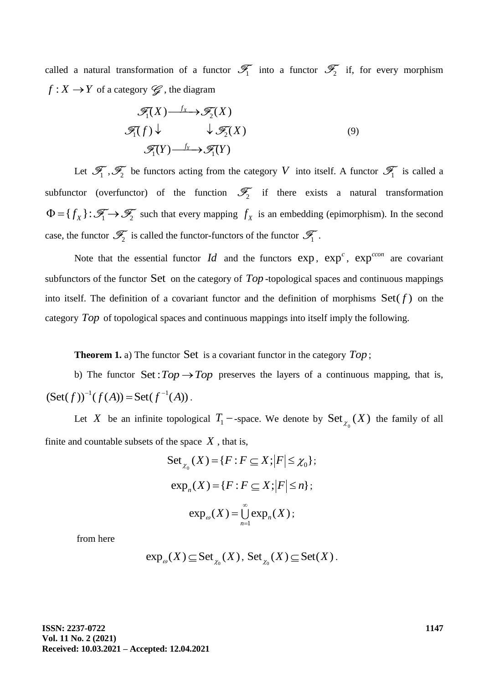called a natural transformation of a functor  $\mathcal{T}_1$  into a functor  $\mathcal{T}_2$  if, for every morphism  $f: X \to Y$  of a category  $\mathscr{G}$ , the diagram

$$
\mathcal{F}_1(X) \xrightarrow{f_X} \mathcal{F}_2(X)
$$
  

$$
\mathcal{F}_1(f) \downarrow \qquad \qquad \downarrow \mathcal{F}_2(X)
$$
  

$$
\mathcal{F}_1(Y) \xrightarrow{f_Y} \mathcal{F}_1(Y)
$$
 (9)

Let  $\mathscr{F}_1$ ,  $\mathscr{F}_2$  be functors acting from the category V into itself. A functor  $\mathscr{F}_1$  is called a subfunctor (overfunctor) of the function  $\mathcal{F}_2$  if there exists a natural transformation  $\Phi = \{f_X\} : \mathcal{F}_1 \to \mathcal{F}_2$  such that every mapping  $f_X$  is an embedding (epimorphism). In the second case, the functor  $\mathscr{T}_2$  is called the functor-functors of the functor  $\mathscr{T}_1$ .

Note that the essential functor  $Id$  and the functors  $exp$ ,  $exp<sup>c</sup>$ ,  $exp<sup>con</sup>$  are covariant subfunctors of the functor Set on the category of *Top* -topological spaces and continuous mappings into itself. The definition of a covariant functor and the definition of morphisms  $Set(f)$  on the category Top of topological spaces and continuous mappings into itself imply the following.

**Theorem 1.** a) The functor Set is a covariant functor in the category  $Top$ ;

b) The functor  $Set: Top \rightarrow Top$  preserves the layers of a continuous mapping, that is,  $\text{Set}(f)^{-1}(f(A)) = \text{Set}(f^{-1}(A)).$ 

Let X be an infinite topological  $T_1$  -space. We denote by  $\operatorname{Set}_{\chi_0}(X)$  the family of all finite and countable subsets of the space  $X$ , that is,<br>  $\text{Set}_{\chi_0}(X) = \{F : F \subseteq X; |F| \leq \chi_0\};$ 

Set 
$$
_{\chi_0}(X) = \{F : F \subseteq X; |F| \le \chi_0\};
$$
  
\nexp<sub>n</sub> $(X) = \{F : F \subseteq X; |F| \le n\};$   
\nexp<sub>n</sub> $(X) = \bigcup_{n=1}^{\infty} \exp_n(X);$ 

from here

$$
\exp_{\omega}(X) \subseteq \operatorname{Set}_{\chi_0}(X), \operatorname{Set}_{\chi_0}(X) \subseteq \operatorname{Set}(X).
$$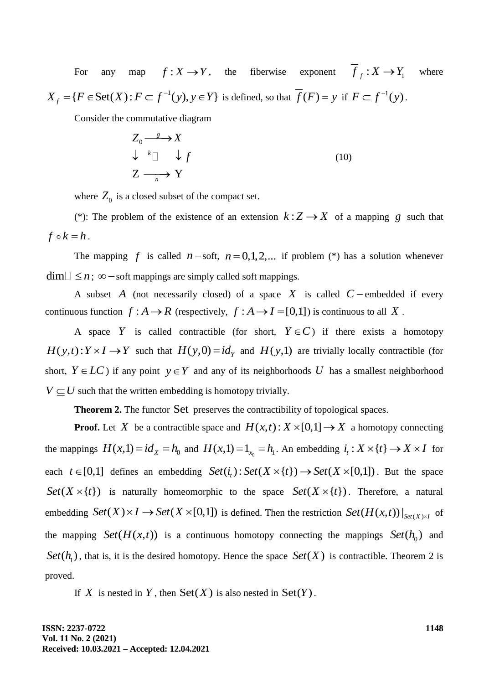For any map  $f: X \to Y$ , the fiberwise exponent  $f_f: X \to Y_1$  where 1  ${X}_f = \{ F \in \text{Set}(X) : F \subset f^{-1}(y), y \in Y \}$ -For any map  $f: X \to Y$ , the heatwise exponent  $f_f: X \to Y_1$ <br>= { $F \in \text{Set}(X)$ :  $F \subset f^{-1}(y)$ ,  $y \in Y$ } is defined, so that  $\overline{f}(F) = y$  if  $F \subset f^{-1}(y)$ .

Consider the commutative diagram

$$
Z_0 \xrightarrow{\text{g}} X
$$
  
\n
$$
\downarrow^k \Box \quad \downarrow f
$$
  
\n
$$
Z \xrightarrow{n} Y
$$
 (10)

where  $Z_0$  is a closed subset of the compact set.

(\*): The problem of the existence of an extension  $k: Z \to X$  of a mapping g such that  $f \circ k = h$ .

The mapping f is called  $n$ -soft,  $n = 0,1,2,...$  if problem (\*) has a solution whenever  $dim \Box \leq n$ ;  $\infty$  – soft mappings are simply called soft mappings.

A subset A (not necessarily closed) of a space  $X$  is called  $C$  – embedded if every continuous function  $f : A \to R$  (respectively,  $f : A \to I = [0,1]$ ) is continuous to all X.

A space Y is called contractible (for short,  $Y \in C$ ) if there exists a homotopy  $H(y,t): Y \times I \to Y$  such that  $H(y,0) = id_y$  and  $H(y,1)$  are trivially locally contractible (for short,  $Y \in LC$ ) if any point  $y \in Y$  and any of its neighborhoods U has a smallest neighborhood  $V \subseteq U$  such that the written embedding is homotopy trivially.

Theorem 2. The functor Set preserves the contractibility of topological spaces.

**Proof.** Let X be a contractible space and  $H(x,t): X \times [0,1] \rightarrow X$  a homotopy connecting the mappings  $H(x,1) = id_x = h_0$  and  $H(x,1) = 1_{x_0} = h_1$ . An embedding  $i_t : X \times \{t\} \to X \times I$  for the mappings  $H(x,1) = id_x = h_0$  and  $H(x,1) = 1_{x_0} = h_1$ . An embedding  $i_t : X \times \{t\} \rightarrow X \times I$  for<br>each  $t \in [0,1]$  defines an embedding  $Set(i_t) : Set(X \times \{t\}) \rightarrow Set(X \times [0,1])$ . But the space  $Set(X \times \{t\})$  is naturally homeomorphic to the space  $Set(X \times \{t\})$ . Therefore, a natural embedding  $Set(X) \times I \rightarrow Set(X \times [0,1])$  is defined. Then the restriction  $Set(H(x,t))|_{Set(X) \times I}$  of the mapping  $Set(H(x,t))$  is a continuous homotopy connecting the mappings  $Set(h_0)$  and  $Set(h_1)$ , that is, it is the desired homotopy. Hence the space  $Set(X)$  is contractible. Theorem 2 is proved.

If X is nested in Y, then  $Set(X)$  is also nested in  $Set(Y)$ .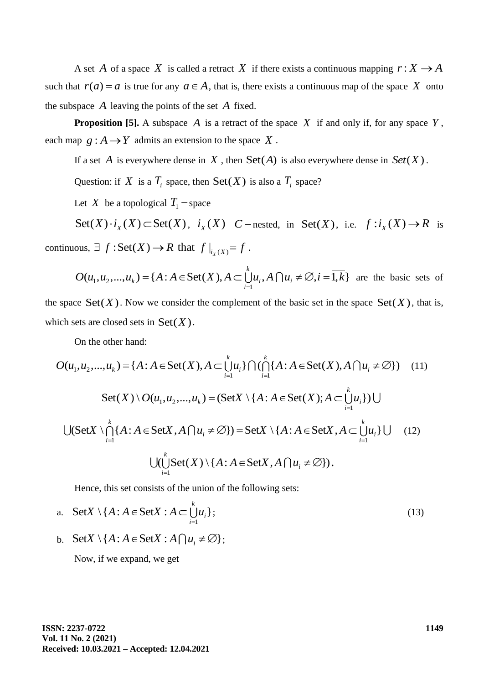A set A of a space X is called a retract X if there exists a continuous mapping  $r: X \rightarrow A$ such that  $r(a) = a$  is true for any  $a \in A$ , that is, there exists a continuous map of the space X onto the subspace *A* leaving the points of the set *A* fixed.

**Proposition [5].** A subspace A is a retract of the space  $X$  if and only if, for any space  $Y$ , each map  $g : A \rightarrow Y$  admits an extension to the space X.

If a set A is everywhere dense in X, then  $Set(A)$  is also everywhere dense in  $Set(X)$ .

Question: if X is a  $T_i$  space, then  $Set(X)$  is also a  $T_i$  space?

Let X be a topological  $T_1$  -space

Set(X) $\cdot i_X(X) \subset \text{Set}(X)$ ,  $i_X(X)$  C – nested, in Set(X), i.e.  $f : i_X(X) \to R$  is

continuous, 
$$
\exists f : Set(X) \rightarrow R
$$
 that  $f|_{i_X(X)} = f$ .  
\n
$$
O(u_1, u_2,..., u_k) = \{A : A \in Set(X), A \subset \bigcup_{i=1}^k u_i, A \cap u_i \neq \emptyset, i = \overline{1,k}\} \text{ are the basic sets of}
$$

the space  $\text{Set}(X)$ . Now we consider the complement of the basic set in the space  $\text{Set}(X)$ , that is, which sets are closed sets in  $Set(X)$ .

which sets are closed sets in 
$$
Set(X)
$$
.

\nOn the other hand:

\n
$$
O(u_1, u_2, \ldots, u_k) = \{A : A \in \text{Set}(X), A \subset \bigcup_{i=1}^k u_i\} \cap (\bigcap_{i=1}^k \{A : A \in \text{Set}(X), A \cap u_i \neq \emptyset\}) \quad (11)
$$
\n
$$
Set(X) \setminus O(u_1, u_2, \ldots, u_k) = (SetX \setminus \{A : A \in \text{Set}(X); A \subset \bigcup_{i=1}^k u_i\}) \cup \bigcup (SetX \setminus \bigcap_{i=1}^k \{A : A \in \text{Set}(X, A \cap u_i \neq \emptyset\}) = SetX \setminus \{A : A \in \text{Set}(X, A \subset \bigcup_{i=1}^k u_i\} \cup \{12\})
$$
\n
$$
\bigcup (\bigcup_{i=1}^k Set(X) \setminus \{A : A \in \text{Set}(X, A \cap u_i \neq \emptyset\}).
$$

Hence, this set consists of the union of the following sets:

a. Set 
$$
X \setminus \{A : A \in \text{Set} X : A \subset \bigcup_{i=1}^{k} u_i\};
$$
 (13)

b. Set  $X \setminus \{A : A \in \text{Set}X : A \cap u_i \neq \emptyset\};$ 

Now, if we expand, we get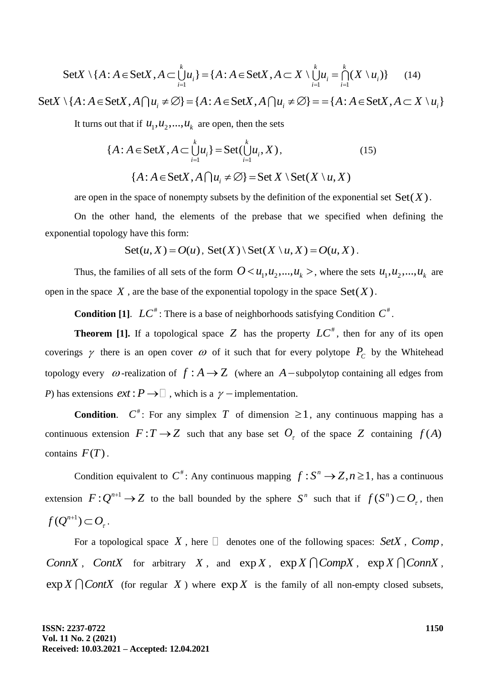SetX 
$$
\{A : A \in \text{Set}X, A \subset \bigcup_{i=1}^{k} u_i\} = \{A : A \in \text{Set}X, A \subset X \setminus \bigcup_{i=1}^{k} u_i = \bigcap_{i=1}^{k} (X \setminus u_i)\}
$$
 (14)

 $Set X \setminus \{ A : A \in \text{Set} X, A \cap u_i \neq \emptyset \} = \{ A : A \in \text{Set} X, A \cap u_i \neq \emptyset \} = \{ A : A \in \text{Set} X, A \subset X \setminus u_i \}$ 

It turns out that if  $u_1, u_2, ..., u_k$  are open, then the sets

$$
\{A : A \in \text{Set}X, A \subset \bigcup_{i=1}^{k} u_i\} = \text{Set}(\bigcup_{i=1}^{k} u_i, X),
$$
\n
$$
\{A : A \in \text{Set}X, A \cap u_i \neq \emptyset\} = \text{Set}X \setminus \text{Set}(X \setminus u, X)
$$
\n
$$
(15)
$$

are open in the space of nonempty subsets by the definition of the exponential set  $Set(X)$ .

On the other hand, the elements of the prebase that we specified when defining the exponential topology have this form:

y have this form:  
\n
$$
Set(u, X) = O(u), Set(X) \setminus Set(X \setminus u, X) = O(u, X).
$$

Thus, the families of all sets of the form  $0 < u_1, u_2, ..., u_k >$ , where the sets  $u_1, u_2, ..., u_k$  are open in the space  $X$ , are the base of the exponential topology in the space  $Set(X)$ .

**Condition [1].**  $LC^*$ : There is a base of neighborhoods satisfying Condition  $C^*$ .

**Theorem [1].** If a topological space Z has the property  $LC^*$ , then for any of its open coverings  $\gamma$  there is an open cover  $\omega$  of it such that for every polytope  $P_c$  by the Whitehead topology every  $\omega$ -realization of  $f : A \rightarrow Z$  (where an  $A$ -subpolytop containing all edges from *P*) has extensions  $ext: P \to \square$ , which is a  $\gamma$  -implementation.

**Condition.**  $C^*$ : For any simplex T of dimension  $\geq 1$ , any continuous mapping has a continuous extension  $F: T \to Z$  such that any base set  $O_\tau$  of the space Z containing  $f(A)$ contains  $F(T)$ .

Condition equivalent to  $C^*$ : Any continuous mapping  $f: S^n \to Z, n \ge 1$ , has a continuous extension  $F: Q^{n+1} \to Z$  to the ball bounded by the sphere  $S^n$  such that if  $f(S^n) \subset O_\tau$ , then  $f(Q^{n+1})\subset O_{\tau}$ .

For a topological space X, here  $\Box$  denotes one of the following spaces: SetX, Comp, *ConnX*, *ContX* for arbitrary *X*, and  $exp X$ ,  $exp X \cap CompX$ ,  $exp X \cap ConnX$ ,  $\exp X \bigcap ContX$  (for regular X) where  $\exp X$  is the family of all non-empty closed subsets,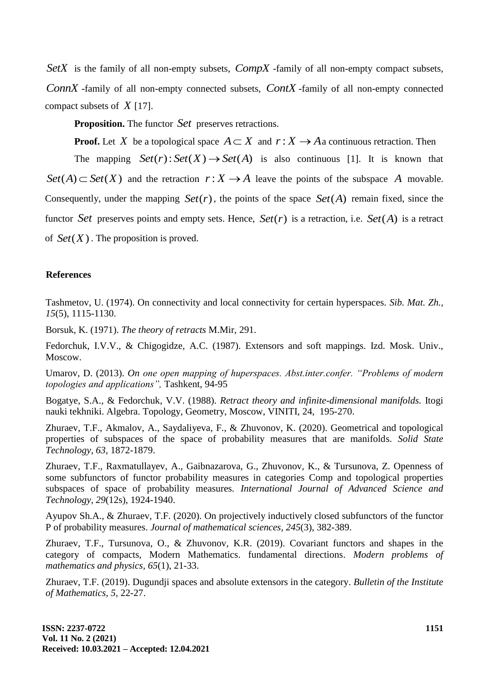SetX is the family of all non-empty subsets, CompX -family of all non-empty compact subsets, *ConnX* -family of all non-empty connected subsets, *ContX* -family of all non-empty connected compact subsets of *X* [17].

**Proposition.** The functor *Set* preserves retractions.

**Proof.** Let X be a topological space  $A \subset X$  and  $r : X \to A$  a continuous retraction. Then

The mapping  $Set(r): Set(X) \rightarrow Set(A)$  is also continuous [1]. It is known that  $Set(A) \subset Set(X)$  and the retraction  $r: X \to A$  leave the points of the subspace A movable. Consequently, under the mapping  $Set(r)$ , the points of the space  $Set(A)$  remain fixed, since the functor Set preserves points and empty sets. Hence,  $Set(r)$  is a retraction, i.e.  $Set(A)$  is a retract of  $Set(X)$ . The proposition is proved.

### **References**

Tashmetov, U. (1974). On connectivity and local connectivity for certain hyperspaces. *Sib. Mat. Zh., 15*(5), 1115-1130.

Borsuk, K. (1971). *The theory of retracts* M.Mir, 291.

Fedorchuk, I.V.V., & Chigogidze, A.C. (1987). Extensors and soft mappings. Izd. Mosk. Univ., Moscow.

Umarov, D. (2013). *On one open mapping of huperspaces. Abst.inter.confer. "Problems of modern topologies and applications",* Tashkent, 94-95

Bogatye, S.A., & Fedorchuk, V.V. (1988). *Retract theory and infinite-dimensional manifolds.* Itogi nauki tekhniki. Algebra. Topology, Geometry, Moscow, VINITI, 24, 195-270.

Zhuraev, T.F., Akmalov, A., Saydaliyeva, F., & Zhuvonov, K. (2020). Geometrical and topological properties of subspaces of the space of probability measures that are manifolds. *Solid State Technology, 63,* 1872-1879.

Zhuraev, T.F., Raxmatullayev, A., Gaibnazarova, G., Zhuvonov, K., & Tursunova, Z. Openness of some subfunctors of functor probability measures in categories Comp and topological properties subspaces of space of probability measures. *International Journal of Advanced Science and Technology, 29*(12s), 1924-1940.

Ayupov Sh.A., & Zhuraev, T.F. (2020). On projectively inductively closed subfunctors of the functor P of probability measures. *Journal of mathematical sciences, 245*(3), 382-389.

Zhuraev, T.F., Tursunova, O., & Zhuvonov, K.R. (2019). Covariant functors and shapes in the category of compacts, Modern Mathematics. fundamental directions. *Modern problems of mathematics and physics, 65*(1), 21-33.

Zhuraev, T.F. (2019). Dugundji spaces and absolute extensors in the category. *Bulletin of the Institute of Mathematics, 5,* 22-27.